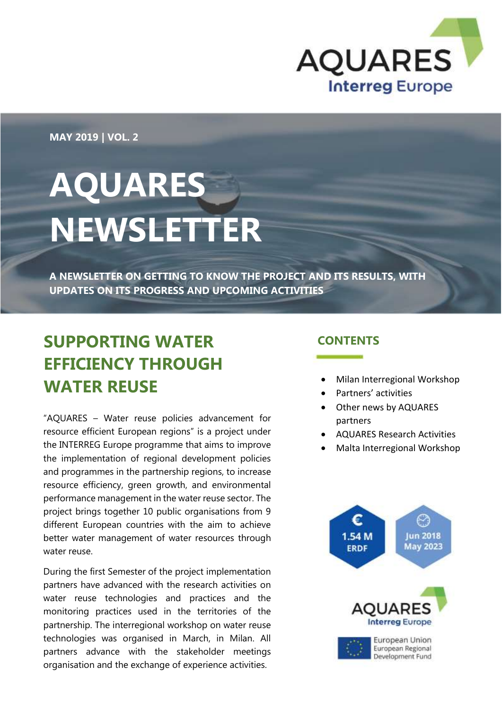

**MAY 2019 | VOL. 2**

# **AQUARES NEWSLETTER**

**A NEWSLETTER ON GETTING TO KNOW THE PROJECT AND ITS RESULTS, WITH UPDATES ON ITS PROGRESS AND UPCOMING ACTIVITIES**

#### **SUPPORTING WATER EFFICIENCY THROUGH WATER REUSE**

"AQUARES – Water reuse policies advancement for resource efficient European regions" is a project under the INTERREG Europe programme that aims to improve the implementation of regional development policies and programmes in the partnership regions, to increase resource efficiency, green growth, and environmental performance management in the water reuse sector. The project brings together 10 public organisations from 9 different European countries with the aim to achieve better water management of water resources through water reuse.

During the first Semester of the project implementation partners have advanced with the research activities on water reuse technologies and practices and the monitoring practices used in the territories of the partnership. The interregional workshop on water reuse technologies was organised in March, in Milan. All partners advance with the stakeholder meetings organisation and the exchange of experience activities.

#### **CONTENTS**

- Milan Interregional Workshop
- Partners' activities
- Other news by AQUARES partners
- AQUARES Research Activities
- Malta Interregional Workshop

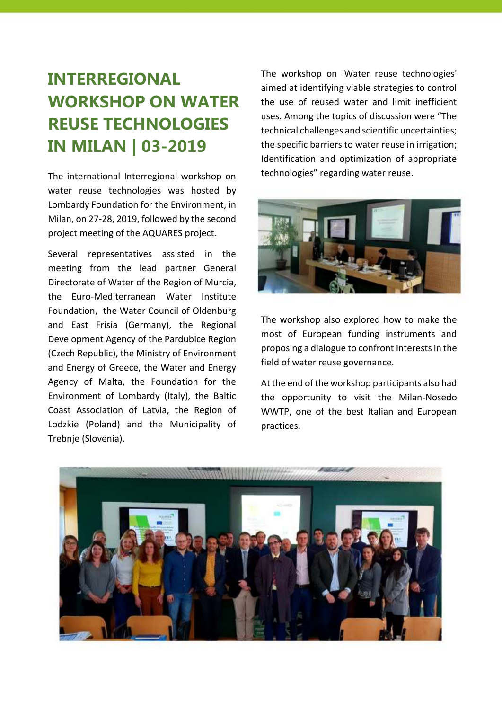### **INTERREGIONAL WORKSHOP ON WATER REUSE TECHNOLOGIES IN MILAN | 03-2019**

The international Interregional workshop on water reuse technologies was hosted by Lombardy Foundation for the Environment, in Milan, on 27-28, 2019, followed by the second project meeting of the AQUARES project.

Several representatives assisted in the meeting from the lead partner General Directorate of Water of the Region of Murcia, the Euro-Mediterranean Water Institute Foundation, the Water Council of Oldenburg and East Frisia (Germany), the Regional Development Agency of the Pardubice Region (Czech Republic), the Ministry of Environment and Energy of Greece, the Water and Energy Agency of Malta, the Foundation for the Environment of Lombardy (Italy), the Baltic Coast Association of Latvia, the Region of Lodzkie (Poland) and the Municipality of Trebnje (Slovenia).

The workshop on 'Water reuse technologies' aimed at identifying viable strategies to control the use of reused water and limit inefficient uses. Among the topics of discussion were "The technical challenges and scientific uncertainties; the specific barriers to water reuse in irrigation; Identification and optimization of appropriate technologies" regarding water reuse.



The workshop also explored how to make the most of European funding instruments and proposing a dialogue to confront interests in the field of water reuse governance.

At the end of the workshop participants also had the opportunity to visit the Milan-Nosedo WWTP, one of the best Italian and European practices.

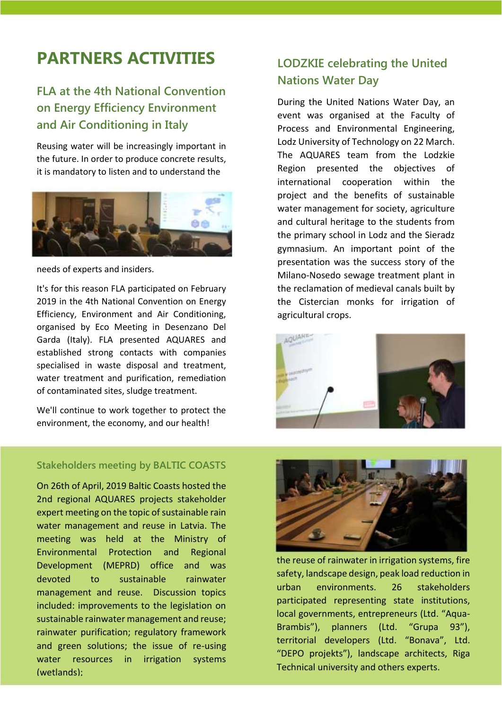#### **PARTNERS ACTIVITIES** LODZKIE celebrating the United

#### **FLA at the 4th National Convention on Energy Efficiency Environment and Air Conditioning in Italy**

Reusing water will be increasingly important in the future. In order to produce concrete results, it is mandatory to listen and to understand the



#### needs of experts and insiders.

It's for this reason FLA participated on February 2019 in the 4th National Convention on Energy Efficiency, Environment and Air Conditioning, organised by Eco Meeting in Desenzano Del Garda (Italy). FLA presented AQUARES and established strong contacts with companies specialised in waste disposal and treatment, water treatment and purification, remediation of contaminated sites, sludge treatment.

We'll continue to work together to protect the environment, the economy, and our health!

## **Nations Water Day**

During the United Nations Water Day, an event was organised at the Faculty of Process and Environmental Engineering, Lodz University of Technology on 22 March. The AQUARES team from the Lodzkie Region presented the objectives of international cooperation within the project and the benefits of sustainable water management for society, agriculture and cultural heritage to the students from the primary school in Lodz and the Sieradz gymnasium. An important point of the presentation was the success story of the Milano-Nosedo sewage treatment plant in the reclamation of medieval canals built by the Cistercian monks for irrigation of agricultural crops.



#### **Stakeholders meeting by BALTIC COASTS**

On 26th of April, 2019 Baltic Coasts hosted the 2nd regional AQUARES projects stakeholder expert meeting on the topic of sustainable rain water management and reuse in Latvia. The meeting was held at the Ministry of Environmental Protection and Regional Development (MEPRD) office and was devoted to sustainable rainwater management and reuse. Discussion topics included: improvements to the legislation on sustainable rainwater management and reuse; rainwater purification; regulatory framework and green solutions; the issue of re-using water resources in irrigation systems (wetlands);



the reuse of rainwater in irrigation systems, fire safety, landscape design, peak load reduction in urban environments. 26 stakeholders participated representing state institutions, local governments, entrepreneurs (Ltd. "Aqua-Brambis"), planners (Ltd. "Grupa 93"), territorial developers (Ltd. "Bonava", Ltd. "DEPO projekts"), landscape architects, Riga Technical university and others experts.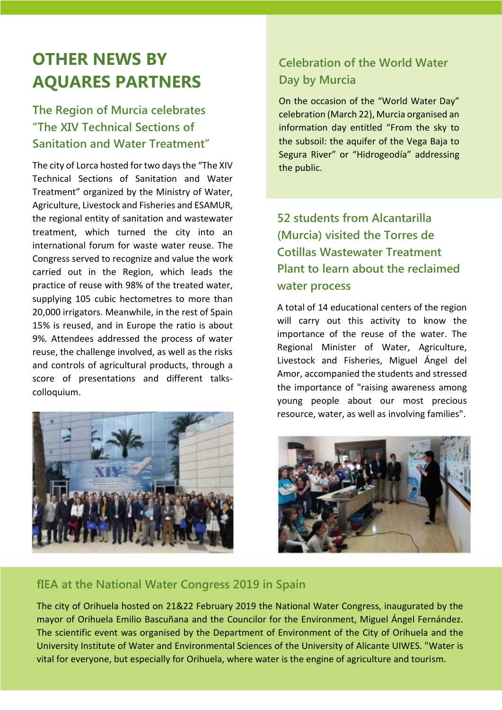#### **OTHER NEWS BY AQUARES PARTNERS**

#### **The Region of Murcia celebrates "The XIV Technical Sections of Sanitation and Water Treatment"**

The city of Lorca hosted for two days the "The XIV Technical Sections of Sanitation and Water Treatment" organized by the Ministry of Water, Agriculture, Livestock and Fisheries and ESAMUR, the regional entity of sanitation and wastewater treatment, which turned the city into an international forum for waste water reuse. The Congress served to recognize and value the work carried out in the Region, which leads the practice of reuse with 98% of the treated water, supplying 105 cubic hectometres to more than 20,000 irrigators. Meanwhile, in the rest of Spain 15% is reused, and in Europe the ratio is about 9%. Attendees addressed the process of water reuse, the challenge involved, as well as the risks and controls of agricultural products, through a score of presentations and different talkscolloquium.



#### **Celebration of the World Water Day by Murcia**

On the occasion of the "World Water Day" celebration (March 22), Murcia organised an information day entitled "From the sky to the subsoil: the aquifer of the Vega Baja to Segura River" or "Hidrogeodía" addressing the public.

#### **52 students from Alcantarilla (Murcia) visited the Torres de Cotillas Wastewater Treatment Plant to learn about the reclaimed water process**

A total of 14 educational centers of the region will carry out this activity to know the importance of the reuse of the water. The Regional Minister of Water, Agriculture, Livestock and Fisheries, Miguel Ángel del Amor, accompanied the students and stressed the importance of "raising awareness among young people about our most precious resource, water, as well as involving families".



#### **fIEA at the National Water Congress 2019 in Spain**

The city of Orihuela hosted on 21&22 February 2019 the National Water Congress, inaugurated by the mayor of Orihuela Emilio Bascuñana and the Councilor for the Environment, Miguel Ángel Fernández. The scientific event was organised by the Department of Environment of the City of Orihuela and the University Institute of Water and Environmental Sciences of the University of Alicante UIWES. "Water is vital for everyone, but especially for Orihuela, where water is the engine of agriculture and tourism.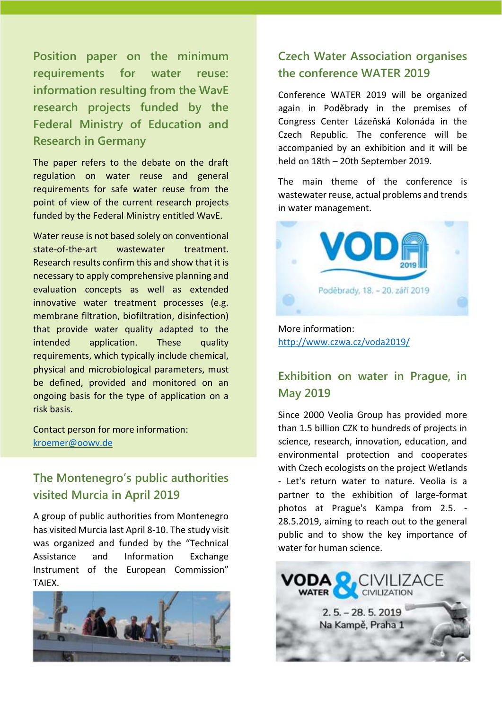**Position paper on the minimum requirements for water reuse: information resulting from the WavE research projects funded by the Federal Ministry of Education and Research in Germany**

The paper refers to the debate on the draft regulation on water reuse and general requirements for safe water reuse from the point of view of the current research projects funded by the Federal Ministry entitled WavE.

Water reuse is not based solely on conventional state-of-the-art wastewater treatment. Research results confirm this and show that it is necessary to apply comprehensive planning and evaluation concepts as well as extended innovative water treatment processes (e.g. membrane filtration, biofiltration, disinfection) that provide water quality adapted to the intended application. These quality requirements, which typically include chemical, physical and microbiological parameters, must be defined, provided and monitored on an ongoing basis for the type of application on a risk basis.

Contact person for more information: [kroemer@oowv.de](mailto:kroemer@oowv.de)

#### **The Montenegro's public authorities visited Murcia in April 2019**

A group of public authorities from Montenegro has visited Murcia last April 8-10. The study visit was organized and funded by the "Technical Assistance and Information Exchange Instrument of the European Commission" TAIEX.



#### **Czech Water Association organises the conference WATER 2019**

Conference WATER 2019 will be organized again in Poděbrady in the premises of Congress Center Lázeňská Kolonáda in the Czech Republic. The conference will be accompanied by an exhibition and it will be held on 18th – 20th September 2019.

The main theme of the conference is wastewater reuse, actual problems and trends in water management.



More information: <http://www.czwa.cz/voda2019/>

#### **Exhibition on water in Prague, in May 2019**

Since 2000 Veolia Group has provided more than 1.5 billion CZK to hundreds of projects in science, research, innovation, education, and environmental protection and cooperates with Czech ecologists on the project Wetlands - Let's return water to nature. Veolia is a partner to the exhibition of large-format photos at Prague's Kampa from 2.5. - 28.5.2019, aiming to reach out to the general public and to show the key importance of water for human science.

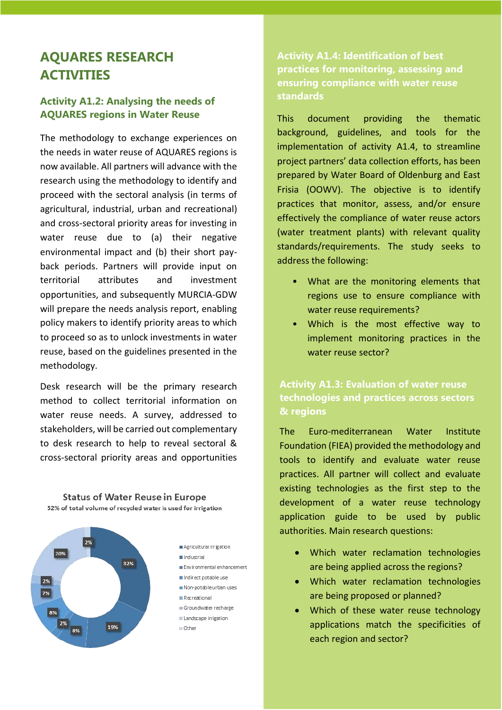#### **AQUARES RESEARCH ACTIVITIES**

#### **Activity A1.2: Analysing the needs of AQUARES regions in Water Reuse**

The methodology to exchange experiences on the needs in water reuse of AQUARES regions is now available. All partners will advance with the research using the methodology to identify and proceed with the sectoral analysis (in terms of agricultural, industrial, urban and recreational) and cross-sectoral priority areas for investing in water reuse due to (a) their negative environmental impact and (b) their short payback periods. Partners will provide input on territorial attributes and investment opportunities, and subsequently MURCIA-GDW will prepare the needs analysis report, enabling policy makers to identify priority areas to which to proceed so as to unlock investments in water reuse, based on the guidelines presented in the methodology.

Desk research will be the primary research method to collect territorial information on water reuse needs. A survey, addressed to stakeholders, will be carried out complementary to desk research to help to reveal sectoral & cross-sectoral priority areas and opportunities

**Status of Water Reuse in Europe** 

52% of total volume of recycled water is used for irrigation 2% Agricultural irrigation 20% ■ industrial 32% Environmental enhancement Indirect potable use 2% Non-potable urban uses 7% **B** Recreational iii Groundwater recharge 2% Landscape irrigation 19%  $=$  Other

**Activity A1.4: Identification of best practices for monitoring, assessing and ensuring compliance with water reuse standards**

This document providing the thematic background, guidelines, and tools for the implementation of activity A1.4, to streamline project partners' data collection efforts, has been prepared by Water Board of Oldenburg and East Frisia (OOWV). The objective is to identify practices that monitor, assess, and/or ensure effectively the compliance of water reuse actors (water treatment plants) with relevant quality standards/requirements. The study seeks to address the following:

- What are the monitoring elements that regions use to ensure compliance with water reuse requirements?
- Which is the most effective way to implement monitoring practices in the water reuse sector?

#### **Activity A1.3: Evaluation of water reuse technologies and practices across sectors & regions**

The Euro-mediterranean Water Institute Foundation (FIEA) provided the methodology and tools to identify and evaluate water reuse practices. All partner will collect and evaluate existing technologies as the first step to the development of a water reuse technology application guide to be used by public authorities. Main research questions:

- Which water reclamation technologies are being applied across the regions?
- Which water reclamation technologies are being proposed or planned?
- Which of these water reuse technology applications match the specificities of each region and sector?